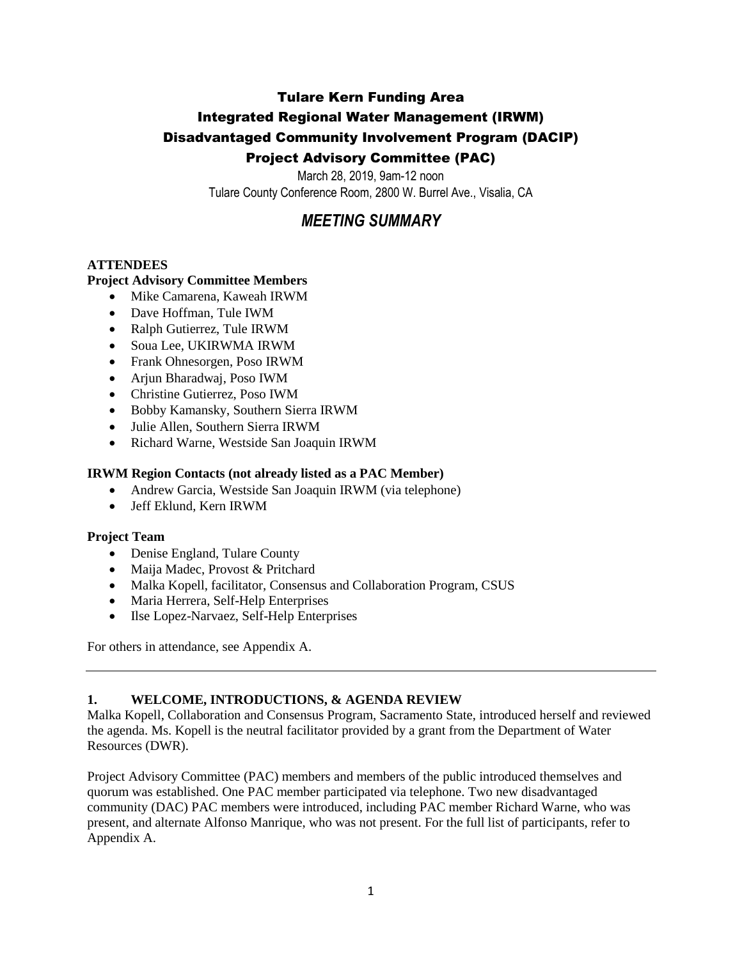## Tulare Kern Funding Area

## Integrated Regional Water Management (IRWM)

#### Disadvantaged Community Involvement Program (DACIP)

## Project Advisory Committee (PAC)

March 28, 2019, 9am-12 noon Tulare County Conference Room, 2800 W. Burrel Ave., Visalia, CA

# *MEETING SUMMARY*

#### **ATTENDEES**

#### **Project Advisory Committee Members**

- Mike Camarena, Kaweah IRWM
- Dave Hoffman, Tule IWM
- Ralph Gutierrez, Tule IRWM
- Soua Lee, UKIRWMA IRWM
- Frank Ohnesorgen, Poso IRWM
- Arjun Bharadwaj, Poso IWM
- Christine Gutierrez, Poso IWM
- Bobby Kamansky, Southern Sierra IRWM
- Julie Allen, Southern Sierra IRWM
- Richard Warne, Westside San Joaquin IRWM

#### **IRWM Region Contacts (not already listed as a PAC Member)**

- Andrew Garcia, Westside San Joaquin IRWM (via telephone)
- Jeff Eklund, Kern IRWM

#### **Project Team**

- Denise England, Tulare County
- Maija Madec, Provost & Pritchard
- Malka Kopell, facilitator, Consensus and Collaboration Program, CSUS
- Maria Herrera, Self-Help Enterprises
- Ilse Lopez-Narvaez, Self-Help Enterprises

For others in attendance, see Appendix A.

#### **1. WELCOME, INTRODUCTIONS, & AGENDA REVIEW**

Malka Kopell, Collaboration and Consensus Program, Sacramento State, introduced herself and reviewed the agenda. Ms. Kopell is the neutral facilitator provided by a grant from the Department of Water Resources (DWR).

Project Advisory Committee (PAC) members and members of the public introduced themselves and quorum was established. One PAC member participated via telephone. Two new disadvantaged community (DAC) PAC members were introduced, including PAC member Richard Warne, who was present, and alternate Alfonso Manrique, who was not present. For the full list of participants, refer to Appendix A.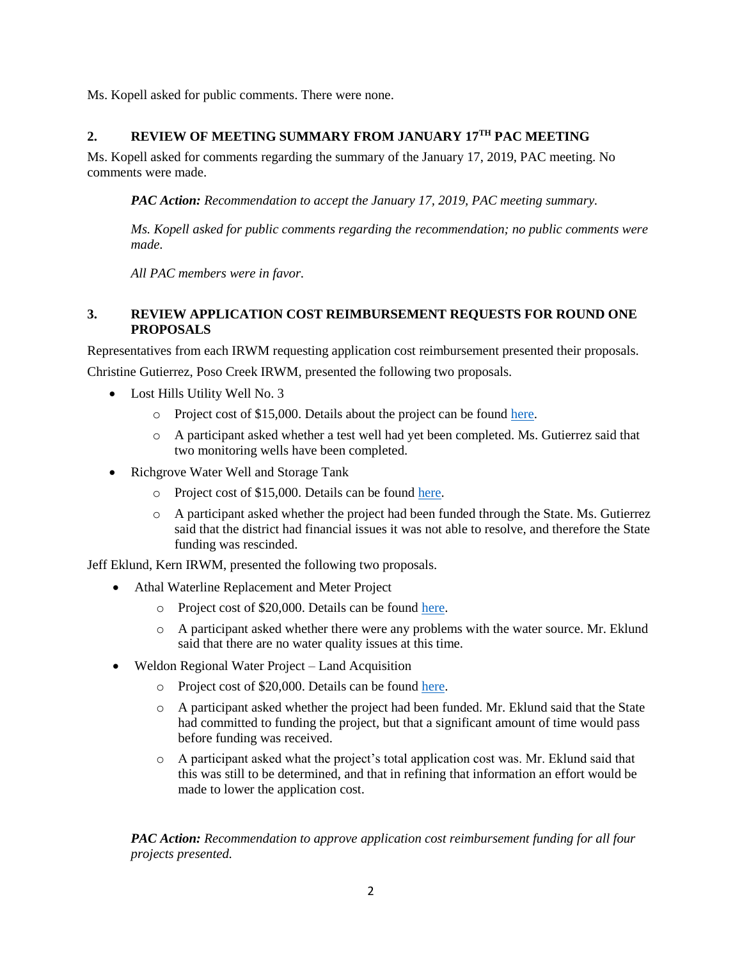Ms. Kopell asked for public comments. There were none.

## **2. REVIEW OF MEETING SUMMARY FROM JANUARY 17TH PAC MEETING**

Ms. Kopell asked for comments regarding the summary of the January 17, 2019, PAC meeting. No comments were made.

*PAC Action: Recommendation to accept the January 17, 2019, PAC meeting summary.* 

*Ms. Kopell asked for public comments regarding the recommendation; no public comments were made.*

*All PAC members were in favor.*

#### **3. REVIEW APPLICATION COST REIMBURSEMENT REQUESTS FOR ROUND ONE PROPOSALS**

Representatives from each IRWM requesting application cost reimbursement presented their proposals.

Christine Gutierrez, Poso Creek IRWM, presented the following two proposals.

- Lost Hills Utility Well No. 3
	- o Project cost of \$15,000. Details about the project can be found [here.](https://tularelakebasin.com/alliance/index.cfm/tulare-kern-dac-involvement/project-development/lost-hills-utility-district-well-no-3/)
	- o A participant asked whether a test well had yet been completed. Ms. Gutierrez said that two monitoring wells have been completed.
- Richgrove Water Well and Storage Tank
	- o Project cost of \$15,000. Details can be found [here.](https://tularelakebasin.com/alliance/index.cfm/tulare-kern-dac-involvement/project-development/richgrove-water-well-and-storage-tank/)
	- o A participant asked whether the project had been funded through the State. Ms. Gutierrez said that the district had financial issues it was not able to resolve, and therefore the State funding was rescinded.

Jeff Eklund, Kern IRWM, presented the following two proposals.

- Athal Waterline Replacement and Meter Project
	- o Project cost of \$20,000. Details can be found [here.](https://tularelakebasin.com/alliance/index.cfm/tulare-kern-dac-involvement/project-development/athal-waterline-replacement-and-meter-project/)
	- o A participant asked whether there were any problems with the water source. Mr. Eklund said that there are no water quality issues at this time.
- Weldon Regional Water Project Land Acquisition
	- o Project cost of \$20,000. Details can be found [here.](https://tularelakebasin.com/alliance/index.cfm/tulare-kern-dac-involvement/project-development/weldon-regional-water-project/)
	- o A participant asked whether the project had been funded. Mr. Eklund said that the State had committed to funding the project, but that a significant amount of time would pass before funding was received.
	- o A participant asked what the project's total application cost was. Mr. Eklund said that this was still to be determined, and that in refining that information an effort would be made to lower the application cost.

*PAC Action: Recommendation to approve application cost reimbursement funding for all four projects presented.*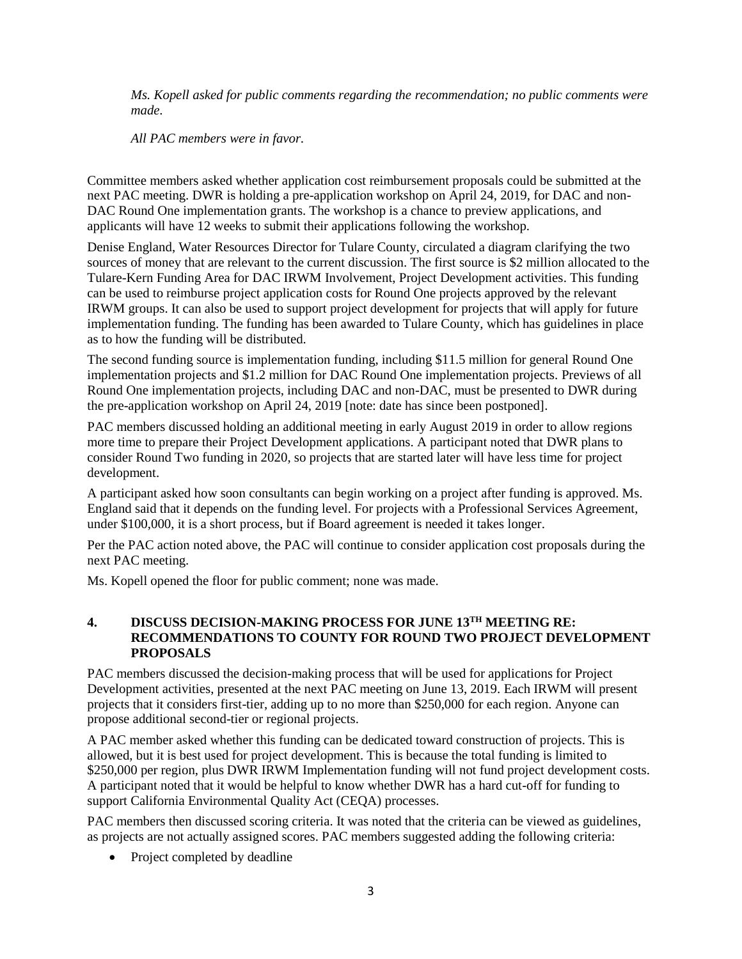*Ms. Kopell asked for public comments regarding the recommendation; no public comments were made.*

*All PAC members were in favor.*

Committee members asked whether application cost reimbursement proposals could be submitted at the next PAC meeting. DWR is holding a pre-application workshop on April 24, 2019, for DAC and non-DAC Round One implementation grants. The workshop is a chance to preview applications, and applicants will have 12 weeks to submit their applications following the workshop.

Denise England, Water Resources Director for Tulare County, circulated a diagram clarifying the two sources of money that are relevant to the current discussion. The first source is \$2 million allocated to the Tulare-Kern Funding Area for DAC IRWM Involvement, Project Development activities. This funding can be used to reimburse project application costs for Round One projects approved by the relevant IRWM groups. It can also be used to support project development for projects that will apply for future implementation funding. The funding has been awarded to Tulare County, which has guidelines in place as to how the funding will be distributed.

The second funding source is implementation funding, including \$11.5 million for general Round One implementation projects and \$1.2 million for DAC Round One implementation projects. Previews of all Round One implementation projects, including DAC and non-DAC, must be presented to DWR during the pre-application workshop on April 24, 2019 [note: date has since been postponed].

PAC members discussed holding an additional meeting in early August 2019 in order to allow regions more time to prepare their Project Development applications. A participant noted that DWR plans to consider Round Two funding in 2020, so projects that are started later will have less time for project development.

A participant asked how soon consultants can begin working on a project after funding is approved. Ms. England said that it depends on the funding level. For projects with a Professional Services Agreement, under \$100,000, it is a short process, but if Board agreement is needed it takes longer.

Per the PAC action noted above, the PAC will continue to consider application cost proposals during the next PAC meeting.

Ms. Kopell opened the floor for public comment; none was made.

#### **4. DISCUSS DECISION-MAKING PROCESS FOR JUNE 13TH MEETING RE: RECOMMENDATIONS TO COUNTY FOR ROUND TWO PROJECT DEVELOPMENT PROPOSALS**

PAC members discussed the decision-making process that will be used for applications for Project Development activities, presented at the next PAC meeting on June 13, 2019. Each IRWM will present projects that it considers first-tier, adding up to no more than \$250,000 for each region. Anyone can propose additional second-tier or regional projects.

A PAC member asked whether this funding can be dedicated toward construction of projects. This is allowed, but it is best used for project development. This is because the total funding is limited to \$250,000 per region, plus DWR IRWM Implementation funding will not fund project development costs. A participant noted that it would be helpful to know whether DWR has a hard cut-off for funding to support California Environmental Quality Act (CEQA) processes.

PAC members then discussed scoring criteria. It was noted that the criteria can be viewed as guidelines, as projects are not actually assigned scores. PAC members suggested adding the following criteria:

• Project completed by deadline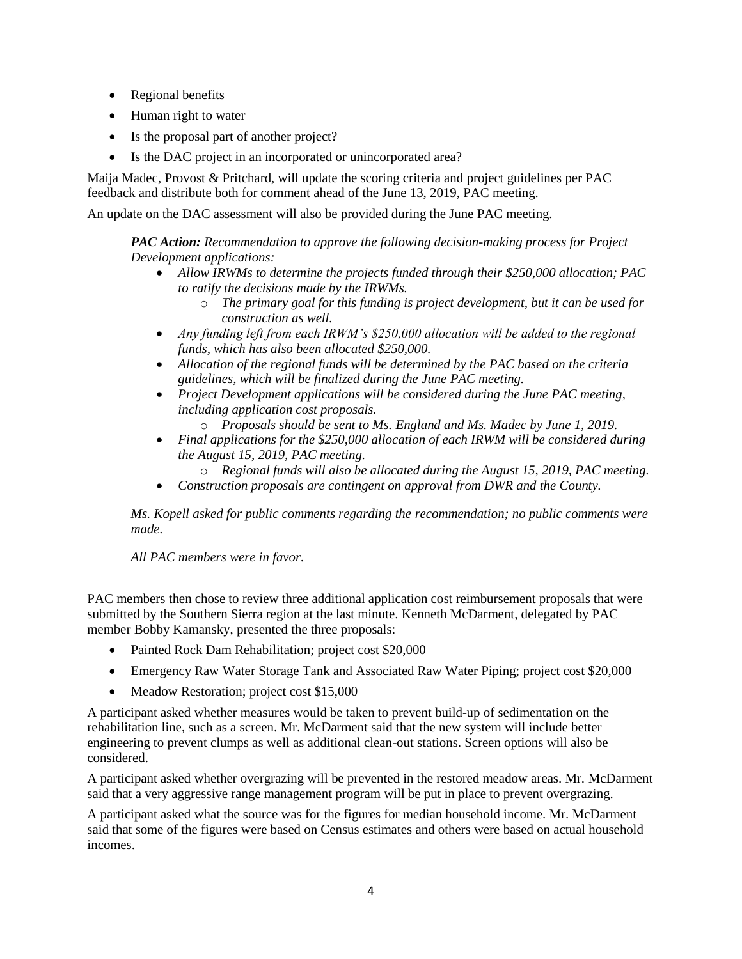- Regional benefits
- Human right to water
- Is the proposal part of another project?
- Is the DAC project in an incorporated or unincorporated area?

Maija Madec, Provost & Pritchard, will update the scoring criteria and project guidelines per PAC feedback and distribute both for comment ahead of the June 13, 2019, PAC meeting.

An update on the DAC assessment will also be provided during the June PAC meeting.

*PAC Action: Recommendation to approve the following decision-making process for Project Development applications:*

- *Allow IRWMs to determine the projects funded through their \$250,000 allocation; PAC to ratify the decisions made by the IRWMs.* 
	- o *The primary goal for this funding is project development, but it can be used for construction as well.*
- *Any funding left from each IRWM's \$250,000 allocation will be added to the regional funds, which has also been allocated \$250,000.*
- *Allocation of the regional funds will be determined by the PAC based on the criteria guidelines, which will be finalized during the June PAC meeting.*
- *Project Development applications will be considered during the June PAC meeting, including application cost proposals.* 
	- o *Proposals should be sent to Ms. England and Ms. Madec by June 1, 2019.*
- *Final applications for the \$250,000 allocation of each IRWM will be considered during the August 15, 2019, PAC meeting.* 
	- o *Regional funds will also be allocated during the August 15, 2019, PAC meeting.*
- *Construction proposals are contingent on approval from DWR and the County.*

*Ms. Kopell asked for public comments regarding the recommendation; no public comments were made.*

*All PAC members were in favor.*

PAC members then chose to review three additional application cost reimbursement proposals that were submitted by the Southern Sierra region at the last minute. Kenneth McDarment, delegated by PAC member Bobby Kamansky, presented the three proposals:

- Painted Rock Dam Rehabilitation; project cost \$20,000
- Emergency Raw Water Storage Tank and Associated Raw Water Piping; project cost \$20,000
- Meadow Restoration; project cost \$15,000

A participant asked whether measures would be taken to prevent build-up of sedimentation on the rehabilitation line, such as a screen. Mr. McDarment said that the new system will include better engineering to prevent clumps as well as additional clean-out stations. Screen options will also be considered.

A participant asked whether overgrazing will be prevented in the restored meadow areas. Mr. McDarment said that a very aggressive range management program will be put in place to prevent overgrazing.

A participant asked what the source was for the figures for median household income. Mr. McDarment said that some of the figures were based on Census estimates and others were based on actual household incomes.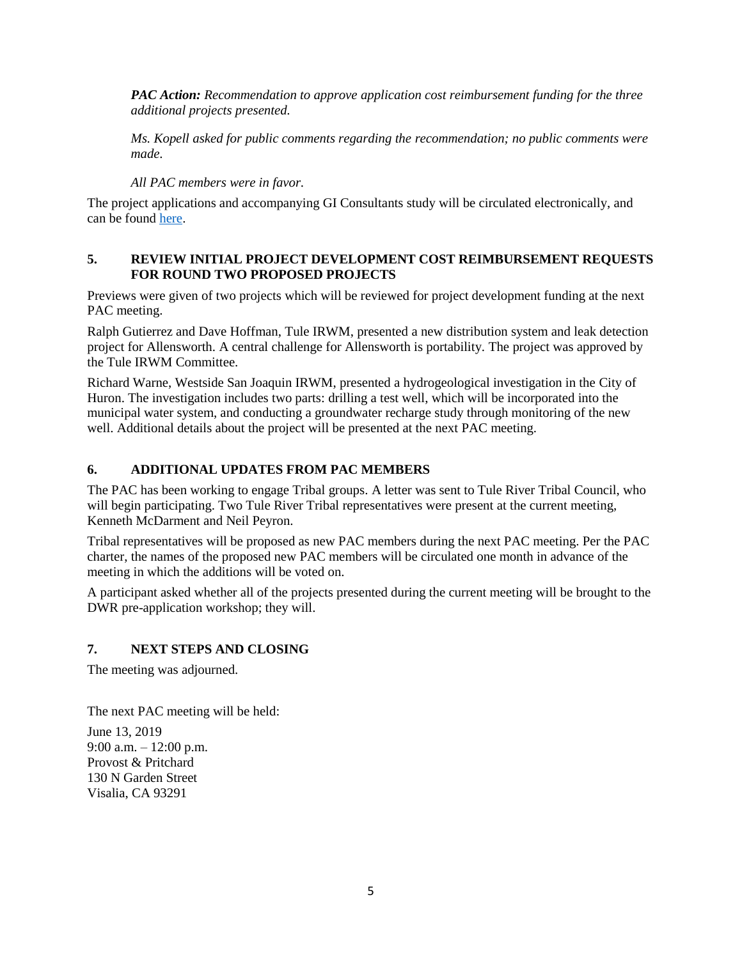*PAC Action: Recommendation to approve application cost reimbursement funding for the three additional projects presented.* 

*Ms. Kopell asked for public comments regarding the recommendation; no public comments were made.*

*All PAC members were in favor.*

The project applications and accompanying GI Consultants study will be circulated electronically, and can be found [here.](https://tularelakebasin.com/alliance/index.cfm/tulare-kern-dac-involvement/project-development/)

#### **5. REVIEW INITIAL PROJECT DEVELOPMENT COST REIMBURSEMENT REQUESTS FOR ROUND TWO PROPOSED PROJECTS**

Previews were given of two projects which will be reviewed for project development funding at the next PAC meeting.

Ralph Gutierrez and Dave Hoffman, Tule IRWM, presented a new distribution system and leak detection project for Allensworth. A central challenge for Allensworth is portability. The project was approved by the Tule IRWM Committee.

Richard Warne, Westside San Joaquin IRWM, presented a hydrogeological investigation in the City of Huron. The investigation includes two parts: drilling a test well, which will be incorporated into the municipal water system, and conducting a groundwater recharge study through monitoring of the new well. Additional details about the project will be presented at the next PAC meeting.

### **6. ADDITIONAL UPDATES FROM PAC MEMBERS**

The PAC has been working to engage Tribal groups. A letter was sent to Tule River Tribal Council, who will begin participating. Two Tule River Tribal representatives were present at the current meeting, Kenneth McDarment and Neil Peyron.

Tribal representatives will be proposed as new PAC members during the next PAC meeting. Per the PAC charter, the names of the proposed new PAC members will be circulated one month in advance of the meeting in which the additions will be voted on.

A participant asked whether all of the projects presented during the current meeting will be brought to the DWR pre-application workshop; they will.

#### **7. NEXT STEPS AND CLOSING**

The meeting was adjourned.

The next PAC meeting will be held:

June 13, 2019 9:00 a.m. – 12:00 p.m. Provost & Pritchard 130 N Garden Street Visalia, CA 93291